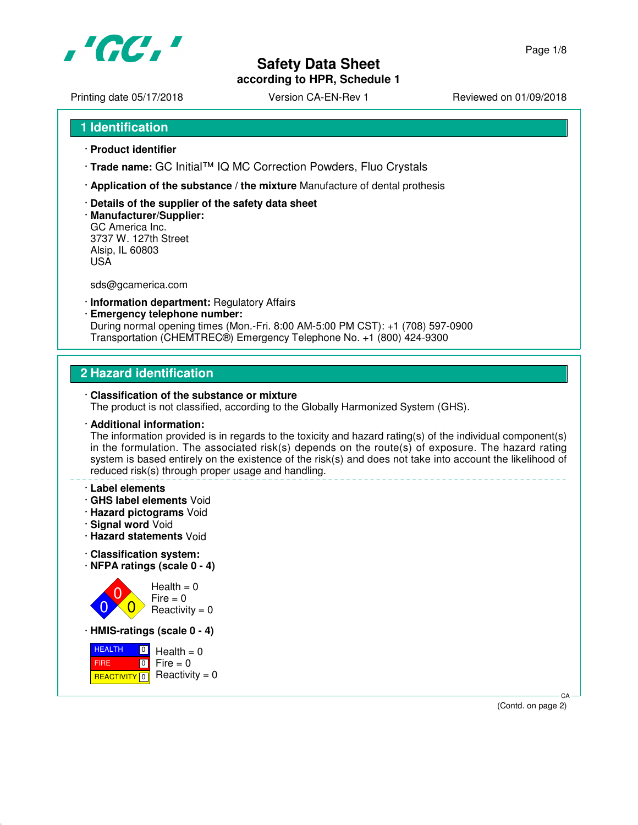

**according to HPR, Schedule 1**

Printing date 05/17/2018 <br>
Version CA-EN-Rev 1 Reviewed on 01/09/2018

- **1 Identification**
- · **Product identifier**
- · **Trade name:** GC Initial™ IQ MC Correction Powders, Fluo Crystals
- · **Application of the substance / the mixture** Manufacture of dental prothesis
- · **Details of the supplier of the safety data sheet**
- · **Manufacturer/Supplier:** GC America Inc. 3737 W. 127th Street Alsip, IL 60803 USA

sds@gcamerica.com

- · **Information department:** Regulatory Affairs
- · **Emergency telephone number:** During normal opening times (Mon.-Fri. 8:00 AM-5:00 PM CST): +1 (708) 597-0900 Transportation (CHEMTREC®) Emergency Telephone No. +1 (800) 424-9300

# **2 Hazard identification**

#### · **Classification of the substance or mixture**

The product is not classified, according to the Globally Harmonized System (GHS).

#### · **Additional information:**

The information provided is in regards to the toxicity and hazard rating(s) of the individual component(s) in the formulation. The associated risk(s) depends on the route(s) of exposure. The hazard rating system is based entirely on the existence of the risk(s) and does not take into account the likelihood of reduced risk(s) through proper usage and handling.

#### · **Label elements**

- · **GHS label elements** Void
- · **Hazard pictograms** Void
- · **Signal word** Void
- · **Hazard statements** Void
- · **Classification system:**
- · **NFPA ratings (scale 0 4)**



· **HMIS-ratings (scale 0 - 4)**

 HEALTH FIRE <mark>REACTIVITY</mark> 0  $\boxed{0}$  $\boxed{0}$  $Health = 0$  $Fire = 0$  $Reactivity = 0$ 

> CA (Contd. on page 2)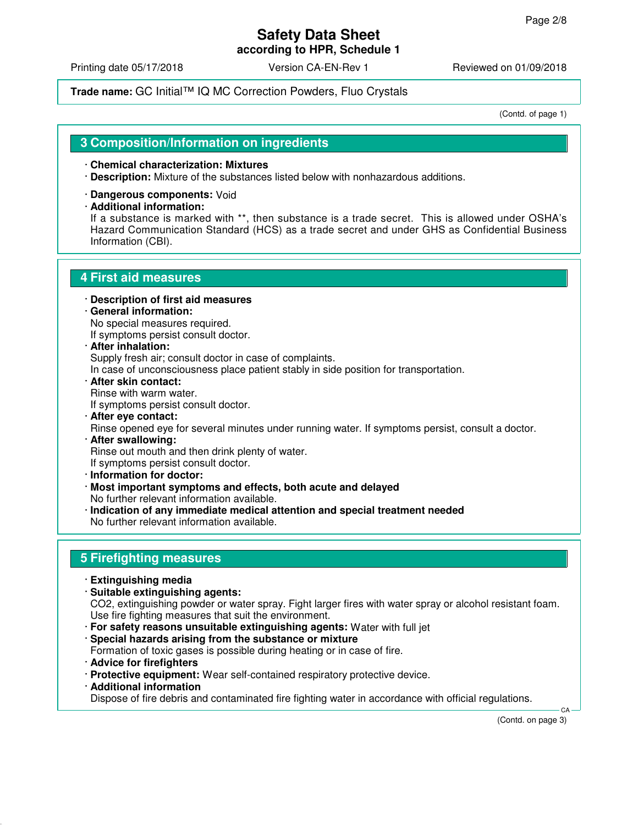**according to HPR, Schedule 1**

Printing date 05/17/2018 **Version CA-EN-Rev 1** Reviewed on 01/09/2018

## **Trade name:** GC Initial™ IQ MC Correction Powders, Fluo Crystals

(Contd. of page 1)

## **3 Composition/Information on ingredients**

#### · **Chemical characterization: Mixtures**

- · **Description:** Mixture of the substances listed below with nonhazardous additions.
- · **Dangerous components:** Void
- · **Additional information:**

If a substance is marked with \*\*, then substance is a trade secret. This is allowed under OSHA's Hazard Communication Standard (HCS) as a trade secret and under GHS as Confidential Business Information (CBI).

## **4 First aid measures**

- · **Description of first aid measures**
- · **General information:** No special measures required.

If symptoms persist consult doctor.

- · **After inhalation:** Supply fresh air; consult doctor in case of complaints.
- In case of unconsciousness place patient stably in side position for transportation.
- · **After skin contact:** Rinse with warm water. If symptoms persist consult doctor.
- · **After eye contact:** Rinse opened eye for several minutes under running water. If symptoms persist, consult a doctor. · **After swallowing:**

Rinse out mouth and then drink plenty of water.

If symptoms persist consult doctor.

- · **Information for doctor:**
- · **Most important symptoms and effects, both acute and delayed** No further relevant information available.
- · **Indication of any immediate medical attention and special treatment needed** No further relevant information available.

## **5 Firefighting measures**

- · **Extinguishing media**
- · **Suitable extinguishing agents:** CO2, extinguishing powder or water spray. Fight larger fires with water spray or alcohol resistant foam. Use fire fighting measures that suit the environment.
	- · **For safety reasons unsuitable extinguishing agents:** Water with full jet
	- · **Special hazards arising from the substance or mixture** Formation of toxic gases is possible during heating or in case of fire.
	- · **Advice for firefighters**
	- · **Protective equipment:** Wear self-contained respiratory protective device.
	- · **Additional information**

Dispose of fire debris and contaminated fire fighting water in accordance with official regulations.

(Contd. on page 3)

CA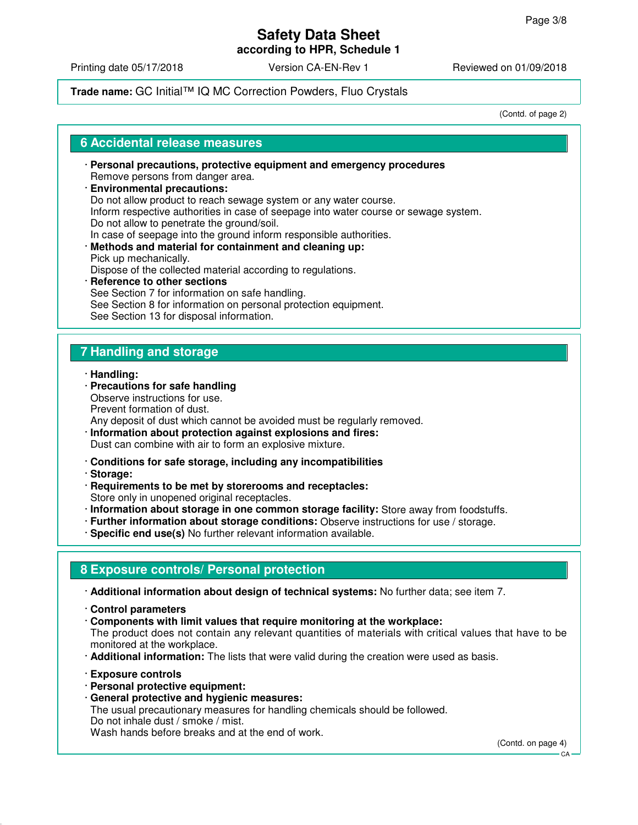## **Safety Data Sheet according to HPR, Schedule 1**

Printing date 05/17/2018 **Version CA-EN-Rev 1** Reviewed on 01/09/2018

## **Trade name:** GC Initial™ IQ MC Correction Powders, Fluo Crystals

(Contd. of page 2)

### **6 Accidental release measures**

· **Personal precautions, protective equipment and emergency procedures** Remove persons from danger area. · **Environmental precautions:**

Do not allow product to reach sewage system or any water course. Inform respective authorities in case of seepage into water course or sewage system. Do not allow to penetrate the ground/soil. In case of seepage into the ground inform responsible authorities.

· **Methods and material for containment and cleaning up:** Pick up mechanically.

Dispose of the collected material according to regulations.

· **Reference to other sections** See Section 7 for information on safe handling. See Section 8 for information on personal protection equipment. See Section 13 for disposal information.

# **7 Handling and storage**

- · **Handling:**
- · **Precautions for safe handling** Observe instructions for use. Prevent formation of dust. Any deposit of dust which cannot be avoided must be regularly removed.
- · **Information about protection against explosions and fires:** Dust can combine with air to form an explosive mixture.
- · **Conditions for safe storage, including any incompatibilities**
- · **Storage:**
- · **Requirements to be met by storerooms and receptacles:** Store only in unopened original receptacles.
- · **Information about storage in one common storage facility:** Store away from foodstuffs.
- · **Further information about storage conditions:** Observe instructions for use / storage.
- · **Specific end use(s)** No further relevant information available.

# **8 Exposure controls/ Personal protection**

· **Additional information about design of technical systems:** No further data; see item 7.

- · **Control parameters**
- · **Components with limit values that require monitoring at the workplace:** The product does not contain any relevant quantities of materials with critical values that have to be monitored at the workplace.
- · **Additional information:** The lists that were valid during the creation were used as basis.
- · **Exposure controls**
- · **Personal protective equipment:**
- · **General protective and hygienic measures:**

The usual precautionary measures for handling chemicals should be followed. Do not inhale dust / smoke / mist. Wash hands before breaks and at the end of work.

(Contd. on page 4)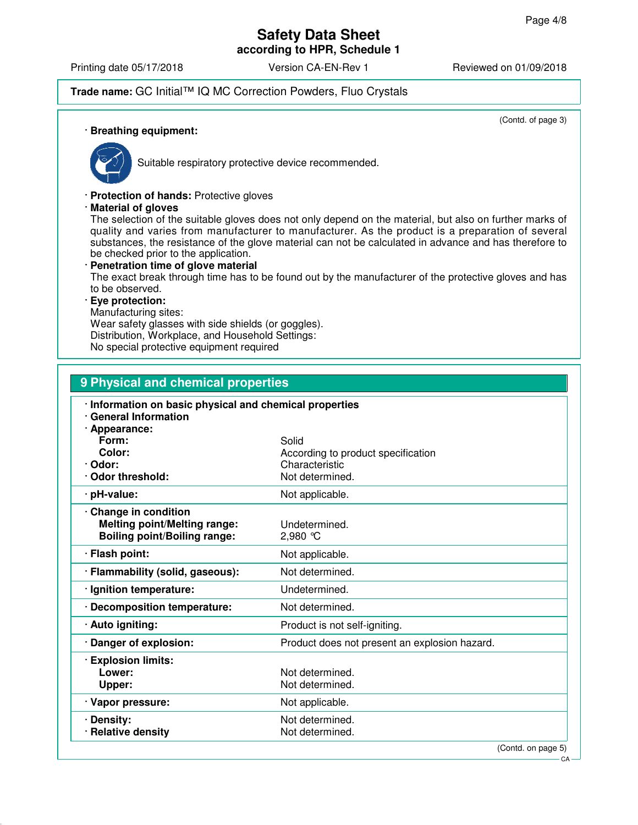# **Safety Data Sheet according to HPR, Schedule 1**

Printing date 05/17/2018 **Version CA-EN-Rev 1** Reviewed on 01/09/2018

# **Trade name:** GC Initial™ IQ MC Correction Powders, Fluo Crystals

(Contd. of page 3)

#### · **Breathing equipment:**



Suitable respiratory protective device recommended.

· **Protection of hands:** Protective gloves

· **Material of gloves**

The selection of the suitable gloves does not only depend on the material, but also on further marks of quality and varies from manufacturer to manufacturer. As the product is a preparation of several substances, the resistance of the glove material can not be calculated in advance and has therefore to be checked prior to the application.

· **Penetration time of glove material** The exact break through time has to be found out by the manufacturer of the protective gloves and has to be observed. · **Eye protection:**

Manufacturing sites:

Wear safety glasses with side shields (or goggles). Distribution, Workplace, and Household Settings:

No special protective equipment required

| 9 Physical and chemical properties                                                                  |                                                                                  |  |
|-----------------------------------------------------------------------------------------------------|----------------------------------------------------------------------------------|--|
| · Information on basic physical and chemical properties<br>· General Information<br>· Appearance:   |                                                                                  |  |
| Form:<br>Color:<br>· Odor:<br>Odor threshold:                                                       | Solid<br>According to product specification<br>Characteristic<br>Not determined. |  |
| · pH-value:                                                                                         | Not applicable.                                                                  |  |
| · Change in condition<br><b>Melting point/Melting range:</b><br><b>Boiling point/Boiling range:</b> | Undetermined.<br>$2,980$ °C                                                      |  |
| · Flash point:                                                                                      | Not applicable.                                                                  |  |
| · Flammability (solid, gaseous):                                                                    | Not determined.                                                                  |  |
| · Ignition temperature:                                                                             | Undetermined.                                                                    |  |
| · Decomposition temperature:                                                                        | Not determined.                                                                  |  |
| · Auto igniting:                                                                                    | Product is not self-igniting.                                                    |  |
| · Danger of explosion:                                                                              | Product does not present an explosion hazard.                                    |  |
| · Explosion limits:<br>Lower:<br>Upper:                                                             | Not determined.<br>Not determined.                                               |  |
| · Vapor pressure:                                                                                   | Not applicable.                                                                  |  |
| · Density:<br>· Relative density                                                                    | Not determined.<br>Not determined.<br>$\sqrt{2}$                                 |  |

(Contd. on page 5)

CA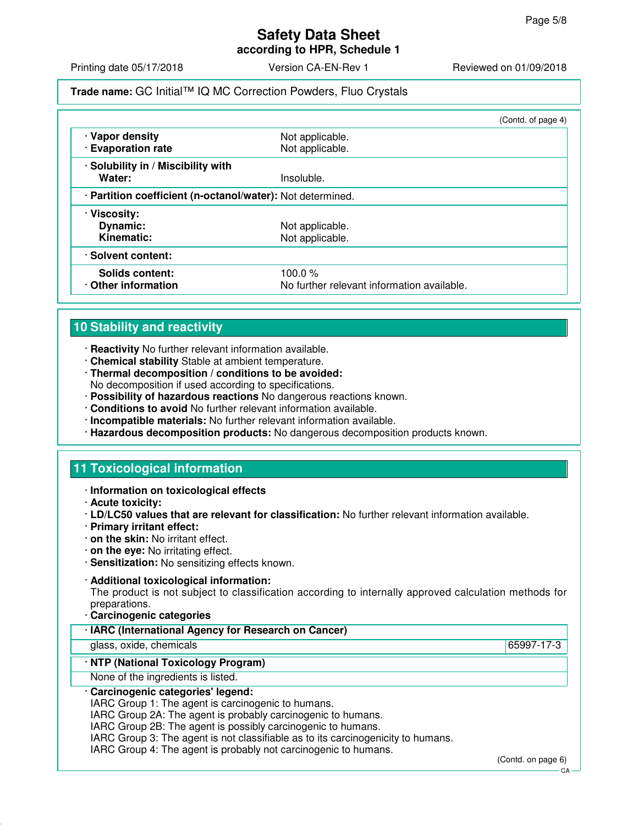**according to HPR, Schedule 1**

Printing date 05/17/2018 **Version CA-EN-Rev 1** Reviewed on 01/09/2018

## **Trade name:** GC Initial™ IQ MC Correction Powders, Fluo Crystals

|                                                            |                                            | (Contd. of page 4) |
|------------------------------------------------------------|--------------------------------------------|--------------------|
| · Vapor density                                            | Not applicable.                            |                    |
| · Evaporation rate                                         | Not applicable.                            |                    |
| · Solubility in / Miscibility with                         |                                            |                    |
| Water:                                                     | Insoluble.                                 |                    |
| · Partition coefficient (n-octanol/water): Not determined. |                                            |                    |
| · Viscosity:                                               |                                            |                    |
| Dynamic:                                                   | Not applicable.                            |                    |
| Kinematic:                                                 | Not applicable.                            |                    |
| · Solvent content:                                         |                                            |                    |
| Solids content:                                            | 100.0 $%$                                  |                    |
| Other information                                          | No further relevant information available. |                    |

# **10 Stability and reactivity**

- · **Reactivity** No further relevant information available.
- · **Chemical stability** Stable at ambient temperature.
- · **Thermal decomposition / conditions to be avoided:** No decomposition if used according to specifications.
- · **Possibility of hazardous reactions** No dangerous reactions known.
- · **Conditions to avoid** No further relevant information available.
- · **Incompatible materials:** No further relevant information available.
- · **Hazardous decomposition products:** No dangerous decomposition products known.

# **11 Toxicological information**

- · **Information on toxicological effects**
- · **Acute toxicity:**
- · **LD/LC50 values that are relevant for classification:** No further relevant information available.
- · **Primary irritant effect:**
- · **on the skin:** No irritant effect.
- · **on the eye:** No irritating effect.
- · **Sensitization:** No sensitizing effects known.

### · **Additional toxicological information:**

The product is not subject to classification according to internally approved calculation methods for preparations.

· **Carcinogenic categories**

| · IARC (International Agency for Research on Cancer)                                                                                             |            |
|--------------------------------------------------------------------------------------------------------------------------------------------------|------------|
| glass, oxide, chemicals                                                                                                                          | 65997-17-3 |
| · NTP (National Toxicology Program)                                                                                                              |            |
| None of the ingredients is listed.                                                                                                               |            |
| · Carcinogenic categories' legend:<br>IARC Group 1: The agent is carcinogenic to humans.                                                         |            |
| IARC Group 2A: The agent is probably carcinogenic to humans.                                                                                     |            |
| IARC Group 2B: The agent is possibly carcinogenic to humans.<br>IARC Group 3: The agent is not classifiable as to its carcinogenicity to humans. |            |

IARC Group 4: The agent is probably not carcinogenic to humans.

(Contd. on page 6)

CA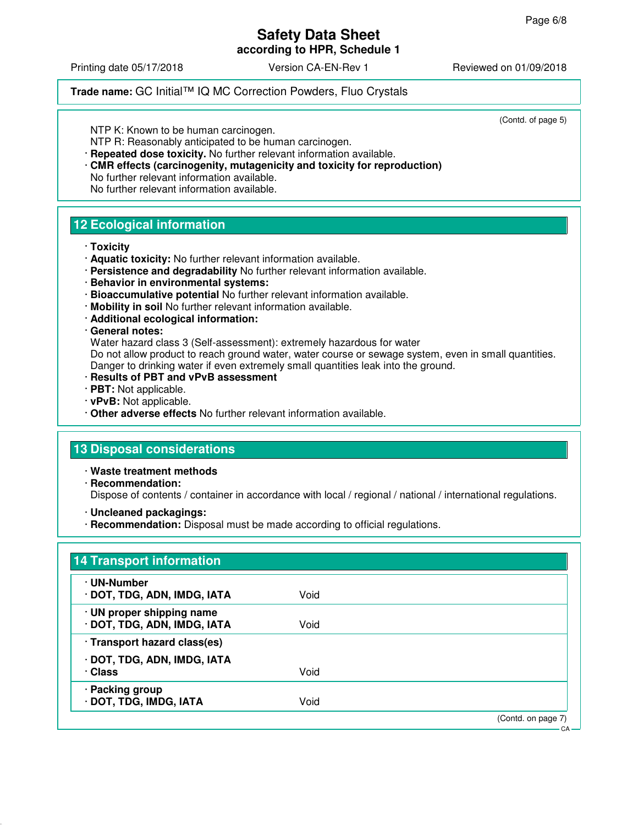## **Safety Data Sheet according to HPR, Schedule 1**

Printing date 05/17/2018 **Version CA-EN-Rev 1** Reviewed on 01/09/2018

## **Trade name:** GC Initial™ IQ MC Correction Powders, Fluo Crystals

(Contd. of page 5)

NTP K: Known to be human carcinogen.

NTP R: Reasonably anticipated to be human carcinogen.

· **Repeated dose toxicity.** No further relevant information available. · **CMR effects (carcinogenity, mutagenicity and toxicity for reproduction)** No further relevant information available.

No further relevant information available.

# **12 Ecological information**

- · **Toxicity**
- · **Aquatic toxicity:** No further relevant information available.
- · **Persistence and degradability** No further relevant information available.
- · **Behavior in environmental systems:**
- · **Bioaccumulative potential** No further relevant information available.
- · **Mobility in soil** No further relevant information available.
- · **Additional ecological information:**

#### · **General notes:**

Water hazard class 3 (Self-assessment): extremely hazardous for water

Do not allow product to reach ground water, water course or sewage system, even in small quantities. Danger to drinking water if even extremely small quantities leak into the ground.

- · **Results of PBT and vPvB assessment**
- · **PBT:** Not applicable.
- · **vPvB:** Not applicable.
- · **Other adverse effects** No further relevant information available.

# **13 Disposal considerations**

· **Waste treatment methods**

· **Recommendation:**

Dispose of contents / container in accordance with local / regional / national / international regulations.

- · **Uncleaned packagings:**
- · **Recommendation:** Disposal must be made according to official regulations.

| · UN-Number                  |      |  |
|------------------------------|------|--|
| · DOT, TDG, ADN, IMDG, IATA  | Void |  |
| · UN proper shipping name    |      |  |
| · DOT, TDG, ADN, IMDG, IATA  | Void |  |
| · Transport hazard class(es) |      |  |
| · DOT, TDG, ADN, IMDG, IATA  |      |  |
| · Class                      | Void |  |
| · Packing group              |      |  |
| · DOT, TDG, IMDG, IATA       | Void |  |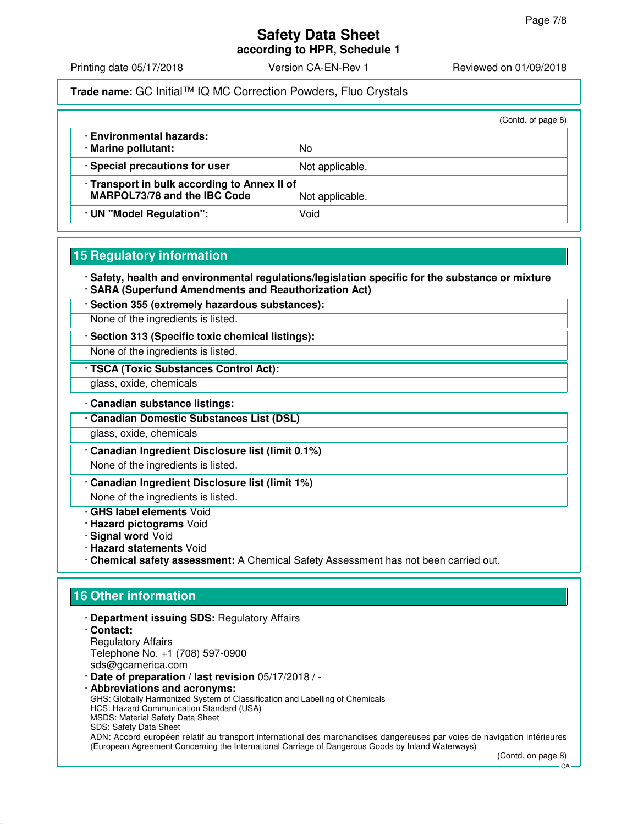**according to HPR, Schedule 1**

Printing date 05/17/2018 **Version CA-EN-Rev 1** Reviewed on 01/09/2018

### **Trade name:** GC Initial™ IQ MC Correction Powders, Fluo Crystals

|                                                                                                        |                 | (Contd. of page 6) |
|--------------------------------------------------------------------------------------------------------|-----------------|--------------------|
| · Environmental hazards:<br>· Marine pollutant:                                                        | No              |                    |
| · Special precautions for user                                                                         | Not applicable. |                    |
| · Transport in bulk according to Annex II of<br><b>MARPOL73/78 and the IBC Code</b><br>Not applicable. |                 |                    |
| · UN "Model Regulation":                                                                               | Void            |                    |

# **15 Regulatory information**

· **Safety, health and environmental regulations/legislation specific for the substance or mixture** · **SARA (Superfund Amendments and Reauthorization Act)**

· **Section 355 (extremely hazardous substances):**

None of the ingredients is listed.

· **Section 313 (Specific toxic chemical listings):**

None of the ingredients is listed.

· **TSCA (Toxic Substances Control Act):**

glass, oxide, chemicals

· **Canadian substance listings:**

· **Canadian Domestic Substances List (DSL)**

glass, oxide, chemicals

· **Canadian Ingredient Disclosure list (limit 0.1%)**

None of the ingredients is listed.

· **Canadian Ingredient Disclosure list (limit 1%)**

None of the ingredients is listed.

- · **GHS label elements** Void
- · **Hazard pictograms** Void
- · **Signal word** Void
- · **Hazard statements** Void
- · **Chemical safety assessment:** A Chemical Safety Assessment has not been carried out.

# **16 Other information**

- · **Department issuing SDS:** Regulatory Affairs
- · **Contact:** Regulatory Affairs Telephone No. +1 (708) 597-0900 sds@gcamerica.com
- · **Date of preparation / last revision** 05/17/2018 / -
- · **Abbreviations and acronyms:** GHS: Globally Harmonized System of Classification and Labelling of Chemicals HCS: Hazard Communication Standard (USA) MSDS: Material Safety Data Sheet SDS: Safety Data Sheet ADN: Accord européen relatif au transport international des marchandises dangereuses par voies de navigation intérieures (European Agreement Concerning the International Carriage of Dangerous Goods by Inland Waterways)

(Contd. on page 8)

 $\cap \Delta$